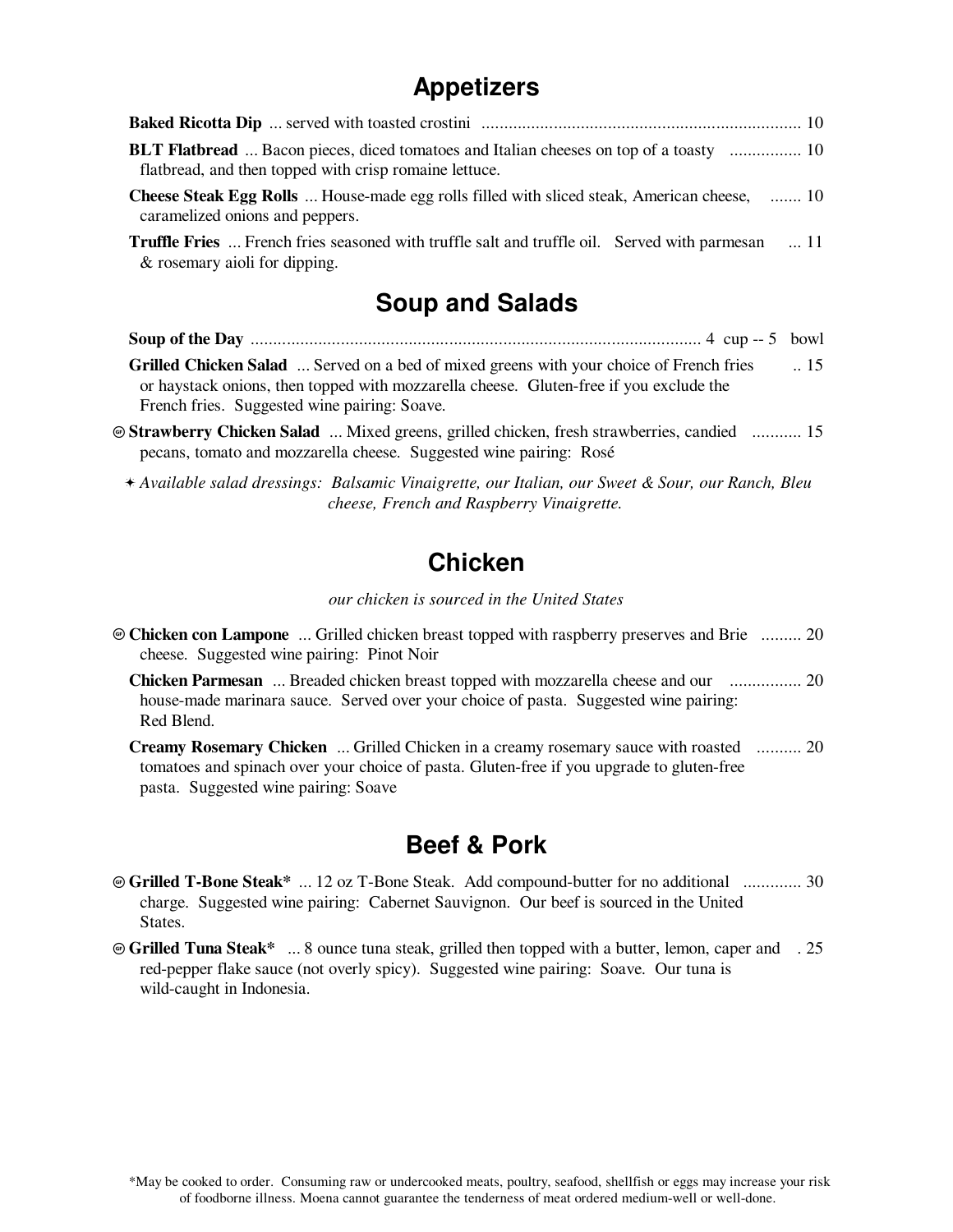# **Appetizers**

| <b>BLT Flatbread</b> Bacon pieces, diced tomatoes and Italian cheeses on top of a toasty  10<br>flatbread, and then topped with crisp romaine lettuce. |  |
|--------------------------------------------------------------------------------------------------------------------------------------------------------|--|
| <b>Cheese Steak Egg Rolls</b> House-made egg rolls filled with sliced steak, American cheese,  10<br>caramelized onions and peppers.                   |  |
| <b>Truffle Fries</b> French fries seasoned with truffle salt and truffle oil. Served with parmesan  11<br>& rosemary aioli for dipping.                |  |
| <b>Soup and Salads</b>                                                                                                                                 |  |
|                                                                                                                                                        |  |

**Grilled Chicken Salad** ... Served on a bed of mixed greens with your choice of French fries or haystack onions, then topped with mozzarella cheese. Gluten-free if you exclude the French fries. Suggested wine pairing: Soave. .. 15

- Ô **Strawberry Chicken Salad** ... Mixed greens, grilled chicken, fresh strawberries, candied ........... 15 pecans, tomato and mozzarella cheese. Suggested wine pairing: Rosé
	- *Available salad dressings: Balsamic Vinaigrette, our Italian, our Sweet & Sour, our Ranch, Bleu* Ï *cheese, French and Raspberry Vinaigrette.*

## **Chicken**

*our chicken is sourced in the United States*

Ô **Chicken con Lampone** ... Grilled chicken breast topped with raspberry preserves and Brie ......... 20 cheese. Suggested wine pairing: Pinot Noir

**Chicken Parmesan** ... Breaded chicken breast topped with mozzarella cheese and our ................ 20 house-made marinara sauce. Served over your choice of pasta. Suggested wine pairing: Red Blend.

**Creamy Rosemary Chicken** ... Grilled Chicken in a creamy rosemary sauce with roasted .......... 20 tomatoes and spinach over your choice of pasta. Gluten-free if you upgrade to gluten-free pasta. Suggested wine pairing: Soave

## **Beef & Pork**

- Ô **Grilled T-Bone Steak\*** ... 12 oz T-Bone Steak. Add compound-butter for no additional ............. 30 charge. Suggested wine pairing: Cabernet Sauvignon. Our beef is sourced in the United States.
- Ô **Grilled Tuna Steak\*** ... 8 ounce tuna steak, grilled then topped with a butter, lemon, caper and . 25red-pepper flake sauce (not overly spicy). Suggested wine pairing: Soave. Our tuna is wild-caught in Indonesia.